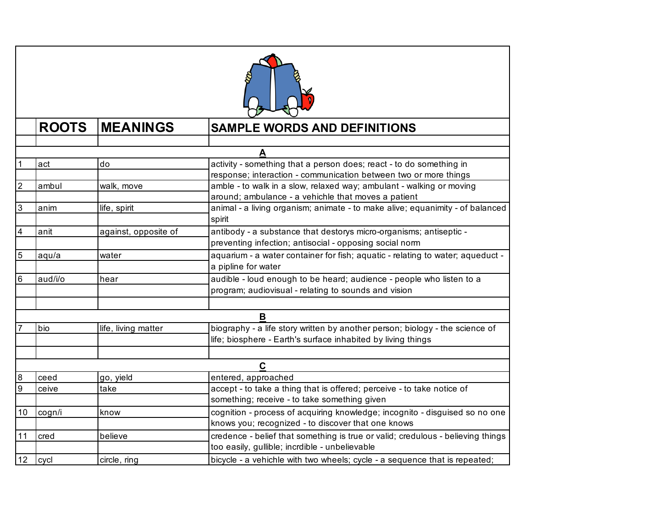

|    | <b>ROOTS</b> | <b>MEANINGS</b>      | <b>SAMPLE WORDS AND DEFINITIONS</b>                                             |
|----|--------------|----------------------|---------------------------------------------------------------------------------|
|    |              |                      |                                                                                 |
|    |              |                      |                                                                                 |
|    | act          | do                   | activity - something that a person does; react - to do something in             |
|    |              |                      | response; interaction - communication between two or more things                |
| 2  | ambul        | walk, move           | amble - to walk in a slow, relaxed way; ambulant - walking or moving            |
|    |              |                      | around; ambulance - a vehichle that moves a patient                             |
| 3  | anim         | life, spirit         | animal - a living organism; animate - to make alive; equanimity - of balanced   |
|    |              |                      | spirit                                                                          |
| 4  | anit         | against, opposite of | antibody - a substance that destorys micro-organisms; antiseptic -              |
|    |              |                      | preventing infection; antisocial - opposing social norm                         |
| 5  | aqu/a        | water                | aquarium - a water container for fish; aquatic - relating to water; aqueduct -  |
|    |              |                      | a pipline for water                                                             |
| 6  | aud/i/o      | hear                 | audible - loud enough to be heard; audience - people who listen to a            |
|    |              |                      | program; audiovisual - relating to sounds and vision                            |
|    |              |                      |                                                                                 |
|    |              |                      | B                                                                               |
|    | bio          | life, living matter  | biography - a life story written by another person; biology - the science of    |
|    |              |                      | life; biosphere - Earth's surface inhabited by living things                    |
|    |              |                      |                                                                                 |
|    |              |                      | C                                                                               |
| 8  | ceed         | go, yield            | entered, approached                                                             |
| 9  | ceive        | take                 | accept - to take a thing that is offered; perceive - to take notice of          |
|    |              |                      | something; receive - to take something given                                    |
| 10 | cogn/i       | know                 | cognition - process of acquiring knowledge; incognito - disguised so no one     |
|    |              |                      | knows you; recognized - to discover that one knows                              |
| 11 | cred         | believe              | credence - belief that something is true or valid; credulous - believing things |
|    |              |                      | too easily, gullible; incrdible - unbelievable                                  |
| 12 | cycl         | circle, ring         | bicycle - a vehichle with two wheels; cycle - a sequence that is repeated;      |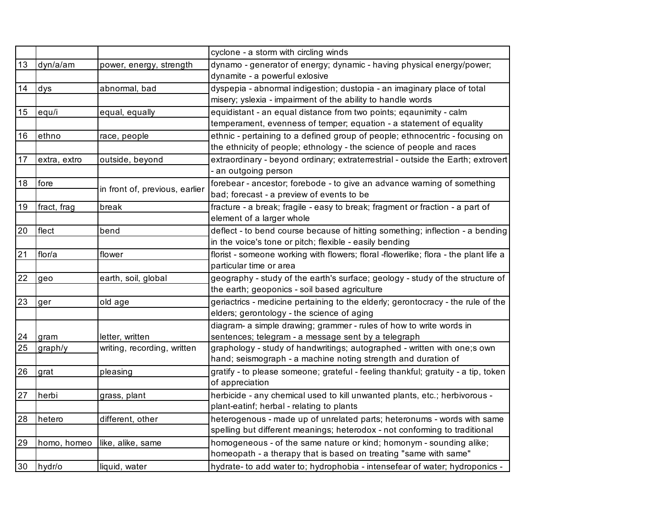|    |              |                                | cyclone - a storm with circling winds                                                                                                                 |
|----|--------------|--------------------------------|-------------------------------------------------------------------------------------------------------------------------------------------------------|
| 13 | dyn/a/am     | power, energy, strength        | dynamo - generator of energy; dynamic - having physical energy/power;<br>dynamite - a powerful exlosive                                               |
| 14 | dys          | abnormal, bad                  | dyspepia - abnormal indigestion; dustopia - an imaginary place of total<br>misery; yslexia - impairment of the ability to handle words                |
| 15 | equ/i        | equal, equally                 | equidistant - an equal distance from two points; eqaunimity - calm<br>temperament, evenness of temper; equation - a statement of equality             |
| 16 | ethno        | race, people                   | ethnic - pertaining to a defined group of people; ethnocentric - focusing on<br>the ethnicity of people; ethnology - the science of people and races  |
| 17 | extra, extro | outside, beyond                | extraordinary - beyond ordinary; extraterrestrial - outside the Earth; extrovert<br>- an outgoing person                                              |
| 18 | fore         | in front of, previous, earlier | forebear - ancestor; forebode - to give an advance warning of something<br>bad; forecast - a preview of events to be                                  |
| 19 | fract, frag  | break                          | fracture - a break; fragile - easy to break; fragment or fraction - a part of<br>element of a larger whole                                            |
| 20 | flect        | bend                           | deflect - to bend course because of hitting something; inflection - a bending<br>in the voice's tone or pitch; flexible - easily bending              |
| 21 | flor/a       | flower                         | florist - someone working with flowers; floral -flowerlike; flora - the plant life a<br>particular time or area                                       |
| 22 | geo          | earth, soil, global            | geography - study of the earth's surface; geology - study of the structure of<br>the earth; geoponics - soil based agriculture                        |
| 23 | ger          | old age                        | geriactrics - medicine pertaining to the elderly; gerontocracy - the rule of the<br>elders; gerontology - the science of aging                        |
| 24 | gram         | letter, written                | diagram- a simple drawing; grammer - rules of how to write words in<br>sentences; telegram - a message sent by a telegraph                            |
| 25 | graph/y      | writing, recording, written    | graphology - study of handwritings; autographed - written with one;s own<br>hand; seismograph - a machine noting strength and duration of             |
| 26 | grat         | pleasing                       | gratify - to please someone; grateful - feeling thankful; gratuity - a tip, token<br>of appreciation                                                  |
| 27 | herbi        | grass, plant                   | herbicide - any chemical used to kill unwanted plants, etc.; herbivorous -<br>plant-eatinf; herbal - relating to plants                               |
| 28 | hetero       | different, other               | heterogenous - made up of unrelated parts; heteronums - words with same<br>spelling but different meanings; heterodox - not conforming to traditional |
| 29 | homo, homeo  | like, alike, same              | homogeneous - of the same nature or kind; homonym - sounding alike;<br>homeopath - a therapy that is based on treating "same with same"               |
| 30 | hydr/o       | liquid, water                  | hydrate- to add water to; hydrophobia - intensefear of water; hydroponics -                                                                           |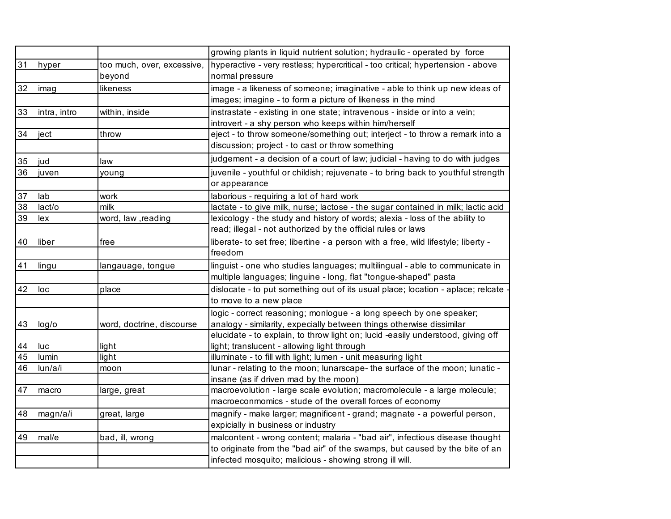|    |              |                            | growing plants in liquid nutrient solution; hydraulic - operated by force          |
|----|--------------|----------------------------|------------------------------------------------------------------------------------|
| 31 | hyper        | too much, over, excessive, | hyperactive - very restless; hypercritical - too critical; hypertension - above    |
|    |              | beyond                     | normal pressure                                                                    |
| 32 | imag         | likeness                   | image - a likeness of someone; imaginative - able to think up new ideas of         |
|    |              |                            | images; imagine - to form a picture of likeness in the mind                        |
| 33 | intra, intro | within, inside             | instrastate - existing in one state; intravenous - inside or into a vein;          |
|    |              |                            | introvert - a shy person who keeps within him/herself                              |
| 34 | ject         | throw                      | eject - to throw someone/something out; interject - to throw a remark into a       |
|    |              |                            | discussion; project - to cast or throw something                                   |
| 35 | jud          | law                        | judgement - a decision of a court of law; judicial - having to do with judges      |
| 36 | juven        | young                      | juvenile - youthful or childish; rejuvenate - to bring back to youthful strength   |
|    |              |                            | or appearance                                                                      |
| 37 | lab          | work                       | laborious - requiring a lot of hard work                                           |
| 38 | lact/o       | milk                       | lactate - to give milk, nurse; lactose - the sugar contained in milk; lactic acid  |
| 39 | lex          | word, law, reading         | lexicology - the study and history of words; alexia - loss of the ability to       |
|    |              |                            | read; illegal - not authorized by the official rules or laws                       |
| 40 | liber        | free                       | liberate- to set free; libertine - a person with a free, wild lifestyle; liberty - |
|    |              |                            | freedom                                                                            |
| 41 | lingu        | langauage, tongue          | linguist - one who studies languages; multilingual - able to communicate in        |
|    |              |                            | multiple languages; linguine - long, flat "tongue-shaped" pasta                    |
| 42 | loc          | place                      | dislocate - to put something out of its usual place; location - aplace; relcate    |
|    |              |                            | to move to a new place                                                             |
|    |              |                            | logic - correct reasoning; monlogue - a long speech by one speaker;                |
| 43 | log/o        | word, doctrine, discourse  | analogy - similarity, expecially between things otherwise dissimilar               |
|    |              |                            | elucidate - to explain, to throw light on; lucid -easily understood, giving off    |
| 44 | luc          | light                      | light; translucent - allowing light through                                        |
| 45 | lumin        | light                      | illuminate - to fill with light; lumen - unit measuring light                      |
| 46 | lun/a/i      | moon                       | lunar - relating to the moon; lunarscape- the surface of the moon; lunatic -       |
|    |              |                            | insane (as if driven mad by the moon)                                              |
| 47 | macro        | large, great               | macroevolution - large scale evolution; macromolecule - a large molecule;          |
|    |              |                            | macroeconmomics - stude of the overall forces of economy                           |
| 48 | magn/a/i     | great, large               | magnify - make larger; magnificent - grand; magnate - a powerful person,           |
|    |              |                            | expicially in business or industry                                                 |
| 49 | mal/e        | bad, ill, wrong            | malcontent - wrong content; malaria - "bad air", infectious disease thought        |
|    |              |                            | to originate from the "bad air" of the swamps, but caused by the bite of an        |
|    |              |                            | infected mosquito; malicious - showing strong ill will.                            |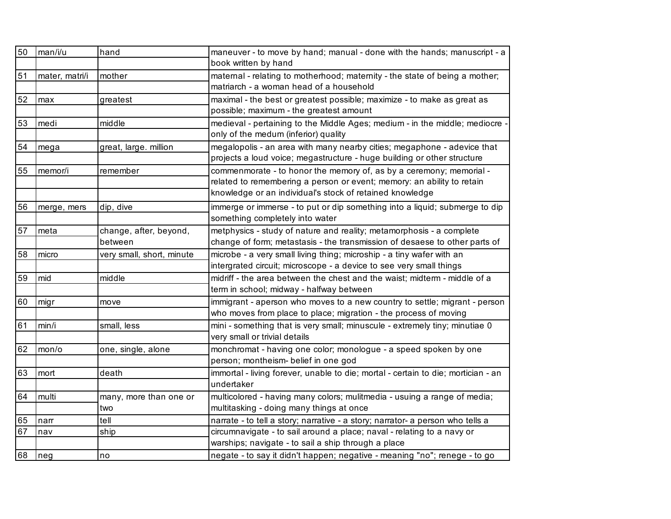| 50 | man/i/u        | hand                      | maneuver - to move by hand; manual - done with the hands; manuscript - a          |
|----|----------------|---------------------------|-----------------------------------------------------------------------------------|
|    |                |                           | book written by hand                                                              |
| 51 | mater, matri/i | mother                    | maternal - relating to motherhood; maternity - the state of being a mother;       |
|    |                |                           | matriarch - a woman head of a household                                           |
| 52 | max            | greatest                  | maximal - the best or greatest possible; maximize - to make as great as           |
|    |                |                           | possible; maximum - the greatest amount                                           |
| 53 | medi           | middle                    | medieval - pertaining to the Middle Ages; medium - in the middle; mediocre -      |
|    |                |                           | only of the medum (inferior) quality                                              |
| 54 | mega           | great, large. million     | megalopolis - an area with many nearby cities; megaphone - adevice that           |
|    |                |                           | projects a loud voice; megastructure - huge building or other structure           |
| 55 | memor/i        | remember                  | commenmorate - to honor the memory of, as by a ceremony; memorial -               |
|    |                |                           | related to remembering a person or event; memory: an ability to retain            |
|    |                |                           | knowledge or an individual's stock of retained knowledge                          |
| 56 | merge, mers    | dip, dive                 | immerge or immerse - to put or dip something into a liquid; submerge to dip       |
|    |                |                           | something completely into water                                                   |
| 57 | meta           | change, after, beyond,    | metphysics - study of nature and reality; metamorphosis - a complete              |
|    |                | between                   | change of form; metastasis - the transmission of desaese to other parts of        |
| 58 | micro          | very small, short, minute | microbe - a very small living thing; microship - a tiny wafer with an             |
|    |                |                           | intergrated circuit; microscope - a device to see very small things               |
| 59 | mid            | middle                    | midriff - the area between the chest and the waist; midterm - middle of a         |
|    |                |                           | term in school; midway - halfway between                                          |
| 60 | migr           | move                      | immigrant - aperson who moves to a new country to settle; migrant - person        |
|    |                |                           | who moves from place to place; migration - the process of moving                  |
| 61 | min/i          | small, less               | mini - something that is very small; minuscule - extremely tiny; minutiae 0       |
|    |                |                           | very small or trivial details                                                     |
| 62 | mon/o          | one, single, alone        | monchromat - having one color; monologue - a speed spoken by one                  |
|    |                |                           | person; montheism- belief in one god                                              |
| 63 | mort           | death                     | immortal - living forever, unable to die; mortal - certain to die; mortician - an |
|    |                |                           | undertaker                                                                        |
| 64 | multi          | many, more than one or    | multicolored - having many colors; mulitmedia - usuing a range of media;          |
|    |                | two                       | multitasking - doing many things at once                                          |
| 65 | narr           | tell                      | narrate - to tell a story; narrative - a story; narrator- a person who tells a    |
| 67 | nav            | ship                      | circumnavigate - to sail around a place; naval - relating to a navy or            |
|    |                |                           | warships; navigate - to sail a ship through a place                               |
| 68 | neg            | no                        | negate - to say it didn't happen; negative - meaning "no"; renege - to go         |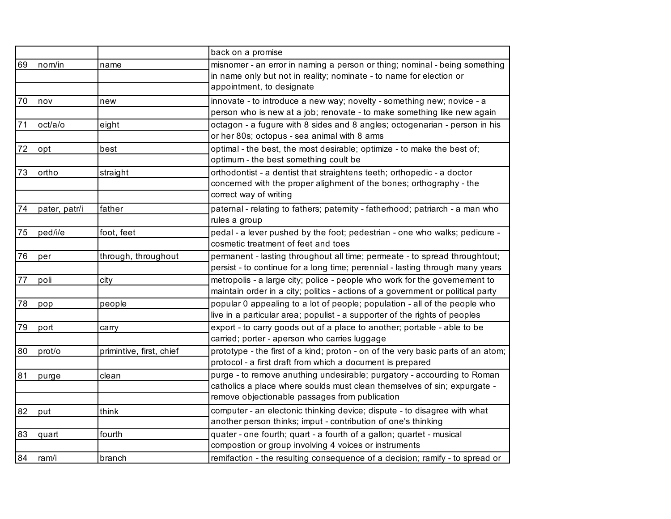|    |               |                          | back on a promise                                                                                                                                                                                     |
|----|---------------|--------------------------|-------------------------------------------------------------------------------------------------------------------------------------------------------------------------------------------------------|
| 69 | nom/in        | name                     | misnomer - an error in naming a person or thing; nominal - being something<br>in name only but not in reality; nominate - to name for election or<br>appointment, to designate                        |
| 70 | nov           | new                      | innovate - to introduce a new way; novelty - something new; novice - a<br>person who is new at a job; renovate - to make something like new again                                                     |
| 71 | oct/a/o       | eight                    | octagon - a fugure with 8 sides and 8 angles; octogenarian - person in his<br>or her 80s; octopus - sea animal with 8 arms                                                                            |
| 72 | opt           | best                     | optimal - the best, the most desirable; optimize - to make the best of;<br>optimum - the best something coult be                                                                                      |
| 73 | ortho         | straight                 | orthodontist - a dentist that straightens teeth; orthopedic - a doctor<br>concerned with the proper alighment of the bones; orthography - the<br>correct way of writing                               |
| 74 | pater, patr/i | father                   | paternal - relating to fathers; paternity - fatherhood; patriarch - a man who<br>rules a group                                                                                                        |
| 75 | ped/i/e       | foot, feet               | pedal - a lever pushed by the foot; pedestrian - one who walks; pedicure -<br>cosmetic treatment of feet and toes                                                                                     |
| 76 | per           | through, throughout      | permanent - lasting throughout all time; permeate - to spread throughtout;<br>persist - to continue for a long time; perennial - lasting through many years                                           |
| 77 | poli          | city                     | metropolis - a large city; police - people who work for the governement to<br>maintain order in a city; politics - actions of a government or political party                                         |
| 78 | pop           | people                   | popular 0 appealing to a lot of people; population - all of the people who<br>live in a particular area; populist - a supporter of the rights of peoples                                              |
| 79 | port          | carry                    | export - to carry goods out of a place to another; portable - able to be<br>carried; porter - aperson who carries luggage                                                                             |
| 80 | prot/o        | primintive, first, chief | prototype - the first of a kind; proton - on of the very basic parts of an atom;<br>protocol - a first draft from which a document is prepared                                                        |
| 81 | purge         | clean                    | purge - to remove anuthing undesirable; purgatory - accourding to Roman<br>catholics a place where soulds must clean themselves of sin; expurgate -<br>remove objectionable passages from publication |
| 82 | put           | think                    | computer - an electonic thinking device; dispute - to disagree with what<br>another person thinks; imput - contribution of one's thinking                                                             |
| 83 | quart         | fourth                   | quater - one fourth; quart - a fourth of a gallon; quartet - musical<br>compostion or group involving 4 voices or instruments                                                                         |
| 84 | ram/i         | branch                   | remifaction - the resulting consequence of a decision; ramify - to spread or                                                                                                                          |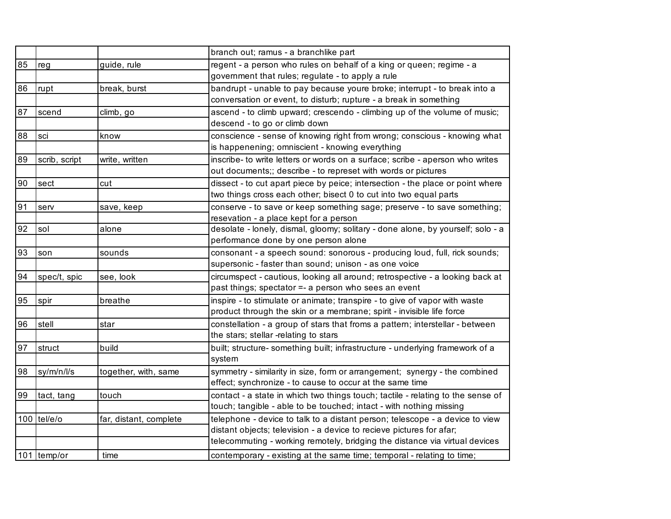|    |               |                        | branch out; ramus - a branchlike part                                                                                                                  |
|----|---------------|------------------------|--------------------------------------------------------------------------------------------------------------------------------------------------------|
| 85 | reg           | guide, rule            | regent - a person who rules on behalf of a king or queen; regime - a                                                                                   |
|    |               |                        | government that rules; regulate - to apply a rule                                                                                                      |
| 86 | rupt          | break, burst           | bandrupt - unable to pay because youre broke; interrupt - to break into a                                                                              |
|    |               |                        | conversation or event, to disturb; rupture - a break in something                                                                                      |
| 87 | scend         | climb, go              | ascend - to climb upward; crescendo - climbing up of the volume of music;                                                                              |
|    |               |                        | descend - to go or climb down                                                                                                                          |
| 88 | sci           | know                   | conscience - sense of knowing right from wrong; conscious - knowing what                                                                               |
|    |               |                        | is happenening; omniscient - knowing everything                                                                                                        |
| 89 | scrib, script | write, written         | inscribe- to write letters or words on a surface; scribe - aperson who writes                                                                          |
|    |               |                        | out documents;; describe - to represet with words or pictures                                                                                          |
| 90 | sect          | cut                    | dissect - to cut apart piece by peice; intersection - the place or point where                                                                         |
|    |               |                        | two things cross each other; bisect 0 to cut into two equal parts                                                                                      |
| 91 | serv          | save, keep             | conserve - to save or keep something sage; preserve - to save something;                                                                               |
|    |               |                        | resevation - a place kept for a person                                                                                                                 |
| 92 | sol           | alone                  | desolate - lonely, dismal, gloomy; solitary - done alone, by yourself; solo - a                                                                        |
|    |               |                        | performance done by one person alone                                                                                                                   |
| 93 | son           | sounds                 | consonant - a speech sound: sonorous - producing loud, full, rick sounds;                                                                              |
|    |               |                        | supersonic - faster than sound; unison - as one voice                                                                                                  |
| 94 | spec/t, spic  | see, look              | circumspect - cautious, looking all around; retrospective - a looking back at                                                                          |
|    |               |                        | past things; spectator =- a person who sees an event                                                                                                   |
| 95 | spir          | breathe                | inspire - to stimulate or animate; transpire - to give of vapor with waste                                                                             |
|    |               |                        | product through the skin or a membrane; spirit - invisible life force                                                                                  |
| 96 | stell         | star                   | constellation - a group of stars that froms a pattern; interstellar - between                                                                          |
|    |               |                        | the stars; stellar -relating to stars                                                                                                                  |
| 97 | struct        | build                  | built; structure- something built; infrastructure - underlying framework of a                                                                          |
|    |               |                        | system                                                                                                                                                 |
| 98 | sy/m/n/l/s    | together, with, same   | symmetry - similarity in size, form or arrangement; synergy - the combined<br>effect; synchronize - to cause to occur at the same time                 |
|    |               |                        |                                                                                                                                                        |
| 99 | tact, tang    | touch                  | contact - a state in which two things touch; tactile - relating to the sense of<br>touch; tangible - able to be touched; intact - with nothing missing |
|    | 100 tel/e/o   | far, distant, complete | telephone - device to talk to a distant person; telescope - a device to view                                                                           |
|    |               |                        | distant objects; television - a device to recieve pictures for afar;                                                                                   |
|    |               |                        | telecommuting - working remotely, bridging the distance via virtual devices                                                                            |
|    | 101 temp/or   | time                   | contemporary - existing at the same time; temporal - relating to time;                                                                                 |